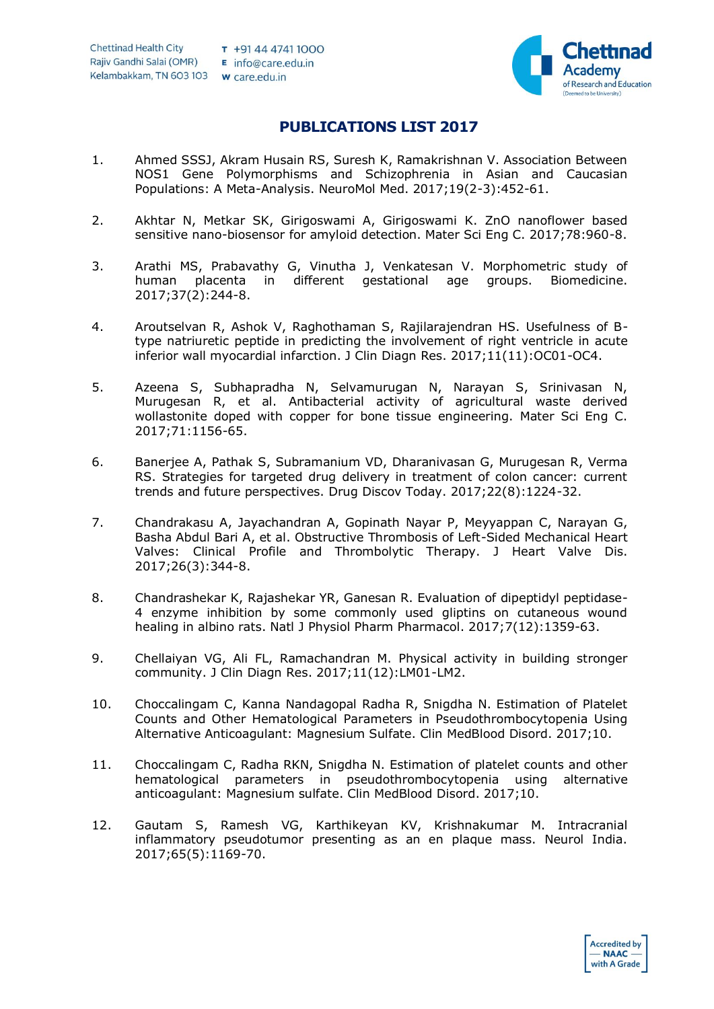

## **PUBLICATIONS LIST 2017**

- 1. Ahmed SSSJ, Akram Husain RS, Suresh K, Ramakrishnan V. Association Between NOS1 Gene Polymorphisms and Schizophrenia in Asian and Caucasian Populations: A Meta-Analysis. NeuroMol Med. 2017;19(2-3):452-61.
- 2. Akhtar N, Metkar SK, Girigoswami A, Girigoswami K. ZnO nanoflower based sensitive nano-biosensor for amyloid detection. Mater Sci Eng C. 2017;78:960-8.
- 3. Arathi MS, Prabavathy G, Vinutha J, Venkatesan V. Morphometric study of human placenta in different gestational age groups. Biomedicine. 2017;37(2):244-8.
- 4. Aroutselvan R, Ashok V, Raghothaman S, Rajilarajendran HS. Usefulness of Btype natriuretic peptide in predicting the involvement of right ventricle in acute inferior wall myocardial infarction. J Clin Diagn Res. 2017;11(11):OC01-OC4.
- 5. Azeena S, Subhapradha N, Selvamurugan N, Narayan S, Srinivasan N, Murugesan R, et al. Antibacterial activity of agricultural waste derived wollastonite doped with copper for bone tissue engineering. Mater Sci Eng C. 2017;71:1156-65.
- 6. Banerjee A, Pathak S, Subramanium VD, Dharanivasan G, Murugesan R, Verma RS. Strategies for targeted drug delivery in treatment of colon cancer: current trends and future perspectives. Drug Discov Today. 2017;22(8):1224-32.
- 7. Chandrakasu A, Jayachandran A, Gopinath Nayar P, Meyyappan C, Narayan G, Basha Abdul Bari A, et al. Obstructive Thrombosis of Left-Sided Mechanical Heart Valves: Clinical Profile and Thrombolytic Therapy. J Heart Valve Dis. 2017;26(3):344-8.
- 8. Chandrashekar K, Rajashekar YR, Ganesan R. Evaluation of dipeptidyl peptidase-4 enzyme inhibition by some commonly used gliptins on cutaneous wound healing in albino rats. Natl J Physiol Pharm Pharmacol. 2017;7(12):1359-63.
- 9. Chellaiyan VG, Ali FL, Ramachandran M. Physical activity in building stronger community. J Clin Diagn Res. 2017;11(12):LM01-LM2.
- 10. Choccalingam C, Kanna Nandagopal Radha R, Snigdha N. Estimation of Platelet Counts and Other Hematological Parameters in Pseudothrombocytopenia Using Alternative Anticoagulant: Magnesium Sulfate. Clin MedBlood Disord. 2017;10.
- 11. Choccalingam C, Radha RKN, Snigdha N. Estimation of platelet counts and other hematological parameters in pseudothrombocytopenia using alternative anticoagulant: Magnesium sulfate. Clin MedBlood Disord. 2017;10.
- 12. Gautam S, Ramesh VG, Karthikeyan KV, Krishnakumar M. Intracranial inflammatory pseudotumor presenting as an en plaque mass. Neurol India. 2017;65(5):1169-70.

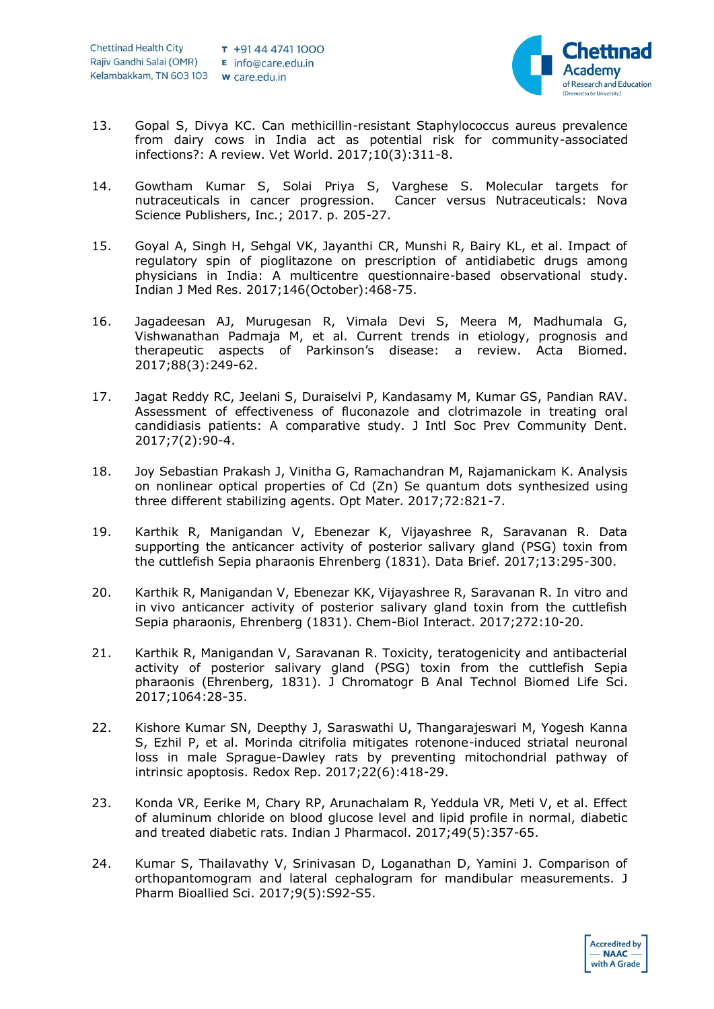

- 13. Gopal S, Divya KC. Can methicillin-resistant Staphylococcus aureus prevalence from dairy cows in India act as potential risk for community-associated infections?: A review. Vet World. 2017;10(3):311-8.
- 14. Gowtham Kumar S, Solai Priya S, Varghese S. Molecular targets for nutraceuticals in cancer progression. Cancer versus Nutraceuticals: Nova Science Publishers, Inc.; 2017. p. 205-27.
- 15. Goyal A, Singh H, Sehgal VK, Jayanthi CR, Munshi R, Bairy KL, et al. Impact of regulatory spin of pioglitazone on prescription of antidiabetic drugs among physicians in India: A multicentre questionnaire-based observational study. Indian J Med Res. 2017;146(October):468-75.
- 16. Jagadeesan AJ, Murugesan R, Vimala Devi S, Meera M, Madhumala G, Vishwanathan Padmaja M, et al. Current trends in etiology, prognosis and therapeutic aspects of Parkinson's disease: a review. Acta Biomed. 2017;88(3):249-62.
- 17. Jagat Reddy RC, Jeelani S, Duraiselvi P, Kandasamy M, Kumar GS, Pandian RAV. Assessment of effectiveness of fluconazole and clotrimazole in treating oral candidiasis patients: A comparative study. J Intl Soc Prev Community Dent. 2017;7(2):90-4.
- 18. Joy Sebastian Prakash J, Vinitha G, Ramachandran M, Rajamanickam K. Analysis on nonlinear optical properties of Cd (Zn) Se quantum dots synthesized using three different stabilizing agents. Opt Mater. 2017;72:821-7.
- 19. Karthik R, Manigandan V, Ebenezar K, Vijayashree R, Saravanan R. Data supporting the anticancer activity of posterior salivary gland (PSG) toxin from the cuttlefish Sepia pharaonis Ehrenberg (1831). Data Brief. 2017;13:295-300.
- 20. Karthik R, Manigandan V, Ebenezar KK, Vijayashree R, Saravanan R. In vitro and in vivo anticancer activity of posterior salivary gland toxin from the cuttlefish Sepia pharaonis, Ehrenberg (1831). Chem-Biol Interact. 2017;272:10-20.
- 21. Karthik R, Manigandan V, Saravanan R. Toxicity, teratogenicity and antibacterial activity of posterior salivary gland (PSG) toxin from the cuttlefish Sepia pharaonis (Ehrenberg, 1831). J Chromatogr B Anal Technol Biomed Life Sci. 2017;1064:28-35.
- 22. Kishore Kumar SN, Deepthy J, Saraswathi U, Thangarajeswari M, Yogesh Kanna S, Ezhil P, et al. Morinda citrifolia mitigates rotenone-induced striatal neuronal loss in male Sprague-Dawley rats by preventing mitochondrial pathway of intrinsic apoptosis. Redox Rep. 2017;22(6):418-29.
- 23. Konda VR, Eerike M, Chary RP, Arunachalam R, Yeddula VR, Meti V, et al. Effect of aluminum chloride on blood glucose level and lipid profile in normal, diabetic and treated diabetic rats. Indian J Pharmacol. 2017;49(5):357-65.
- 24. Kumar S, Thailavathy V, Srinivasan D, Loganathan D, Yamini J. Comparison of orthopantomogram and lateral cephalogram for mandibular measurements. J Pharm Bioallied Sci. 2017;9(5):S92-S5.

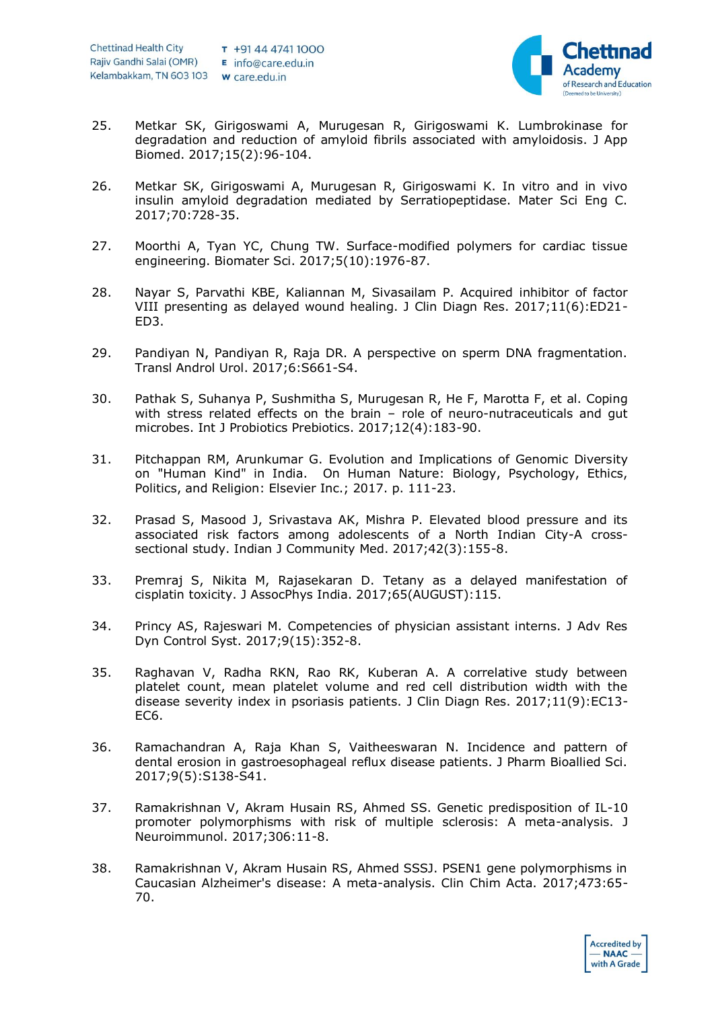

- 25. Metkar SK, Girigoswami A, Murugesan R, Girigoswami K. Lumbrokinase for degradation and reduction of amyloid fibrils associated with amyloidosis. J App Biomed. 2017;15(2):96-104.
- 26. Metkar SK, Girigoswami A, Murugesan R, Girigoswami K. In vitro and in vivo insulin amyloid degradation mediated by Serratiopeptidase. Mater Sci Eng C. 2017;70:728-35.
- 27. Moorthi A, Tyan YC, Chung TW. Surface-modified polymers for cardiac tissue engineering. Biomater Sci. 2017;5(10):1976-87.
- 28. Nayar S, Parvathi KBE, Kaliannan M, Sivasailam P. Acquired inhibitor of factor VIII presenting as delayed wound healing. J Clin Diagn Res. 2017;11(6):ED21- ED3.
- 29. Pandiyan N, Pandiyan R, Raja DR. A perspective on sperm DNA fragmentation. Transl Androl Urol. 2017;6:S661-S4.
- 30. Pathak S, Suhanya P, Sushmitha S, Murugesan R, He F, Marotta F, et al. Coping with stress related effects on the brain – role of neuro-nutraceuticals and gut microbes. Int J Probiotics Prebiotics. 2017;12(4):183-90.
- 31. Pitchappan RM, Arunkumar G. Evolution and Implications of Genomic Diversity on "Human Kind" in India. On Human Nature: Biology, Psychology, Ethics, Politics, and Religion: Elsevier Inc.; 2017. p. 111-23.
- 32. Prasad S, Masood J, Srivastava AK, Mishra P. Elevated blood pressure and its associated risk factors among adolescents of a North Indian City-A crosssectional study. Indian J Community Med. 2017;42(3):155-8.
- 33. Premraj S, Nikita M, Rajasekaran D. Tetany as a delayed manifestation of cisplatin toxicity. J AssocPhys India. 2017;65(AUGUST):115.
- 34. Princy AS, Rajeswari M. Competencies of physician assistant interns. J Adv Res Dyn Control Syst. 2017;9(15):352-8.
- 35. Raghavan V, Radha RKN, Rao RK, Kuberan A. A correlative study between platelet count, mean platelet volume and red cell distribution width with the disease severity index in psoriasis patients. J Clin Diagn Res. 2017;11(9):EC13- EC6.
- 36. Ramachandran A, Raja Khan S, Vaitheeswaran N. Incidence and pattern of dental erosion in gastroesophageal reflux disease patients. J Pharm Bioallied Sci. 2017;9(5):S138-S41.
- 37. Ramakrishnan V, Akram Husain RS, Ahmed SS. Genetic predisposition of IL-10 promoter polymorphisms with risk of multiple sclerosis: A meta-analysis. J Neuroimmunol. 2017;306:11-8.
- 38. Ramakrishnan V, Akram Husain RS, Ahmed SSSJ. PSEN1 gene polymorphisms in Caucasian Alzheimer's disease: A meta-analysis. Clin Chim Acta. 2017;473:65- 70.

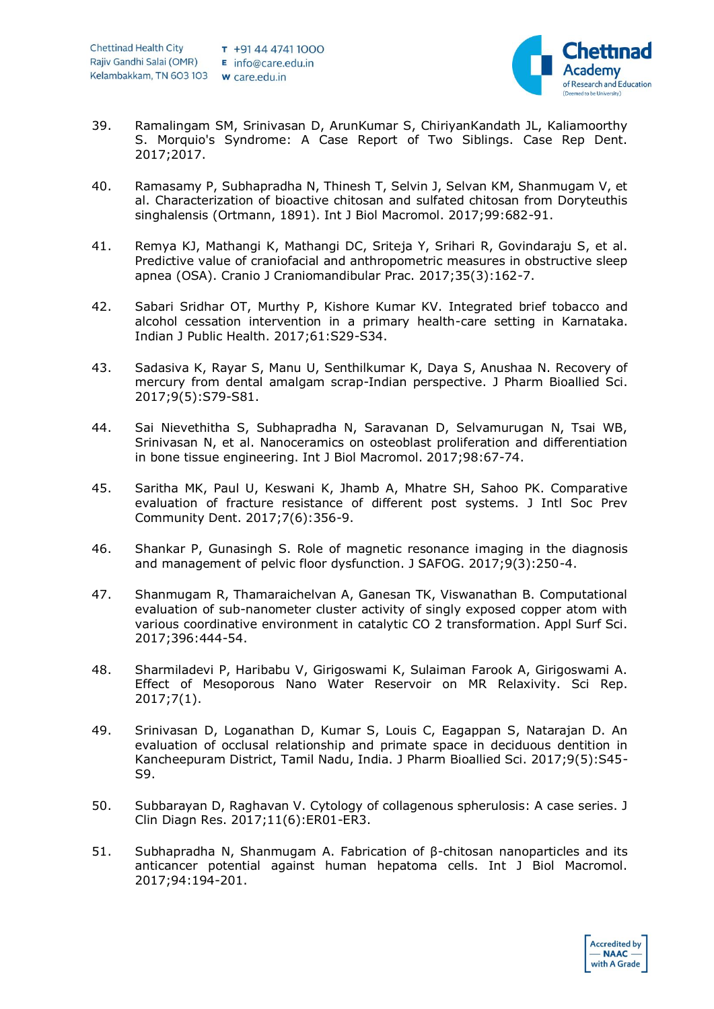

- 39. Ramalingam SM, Srinivasan D, ArunKumar S, ChiriyanKandath JL, Kaliamoorthy S. Morquio's Syndrome: A Case Report of Two Siblings. Case Rep Dent. 2017;2017.
- 40. Ramasamy P, Subhapradha N, Thinesh T, Selvin J, Selvan KM, Shanmugam V, et al. Characterization of bioactive chitosan and sulfated chitosan from Doryteuthis singhalensis (Ortmann, 1891). Int J Biol Macromol. 2017;99:682-91.
- 41. Remya KJ, Mathangi K, Mathangi DC, Sriteja Y, Srihari R, Govindaraju S, et al. Predictive value of craniofacial and anthropometric measures in obstructive sleep apnea (OSA). Cranio J Craniomandibular Prac. 2017;35(3):162-7.
- 42. Sabari Sridhar OT, Murthy P, Kishore Kumar KV. Integrated brief tobacco and alcohol cessation intervention in a primary health-care setting in Karnataka. Indian J Public Health. 2017;61:S29-S34.
- 43. Sadasiva K, Rayar S, Manu U, Senthilkumar K, Daya S, Anushaa N. Recovery of mercury from dental amalgam scrap-Indian perspective. J Pharm Bioallied Sci. 2017;9(5):S79-S81.
- 44. Sai Nievethitha S, Subhapradha N, Saravanan D, Selvamurugan N, Tsai WB, Srinivasan N, et al. Nanoceramics on osteoblast proliferation and differentiation in bone tissue engineering. Int J Biol Macromol. 2017;98:67-74.
- 45. Saritha MK, Paul U, Keswani K, Jhamb A, Mhatre SH, Sahoo PK. Comparative evaluation of fracture resistance of different post systems. J Intl Soc Prev Community Dent. 2017;7(6):356-9.
- 46. Shankar P, Gunasingh S. Role of magnetic resonance imaging in the diagnosis and management of pelvic floor dysfunction. J SAFOG. 2017;9(3):250-4.
- 47. Shanmugam R, Thamaraichelvan A, Ganesan TK, Viswanathan B. Computational evaluation of sub-nanometer cluster activity of singly exposed copper atom with various coordinative environment in catalytic CO 2 transformation. Appl Surf Sci. 2017;396:444-54.
- 48. Sharmiladevi P, Haribabu V, Girigoswami K, Sulaiman Farook A, Girigoswami A. Effect of Mesoporous Nano Water Reservoir on MR Relaxivity. Sci Rep. 2017;7(1).
- 49. Srinivasan D, Loganathan D, Kumar S, Louis C, Eagappan S, Natarajan D. An evaluation of occlusal relationship and primate space in deciduous dentition in Kancheepuram District, Tamil Nadu, India. J Pharm Bioallied Sci. 2017;9(5):S45- S9.
- 50. Subbarayan D, Raghavan V. Cytology of collagenous spherulosis: A case series. J Clin Diagn Res. 2017;11(6):ER01-ER3.
- 51. Subhapradha N, Shanmugam A. Fabrication of β-chitosan nanoparticles and its anticancer potential against human hepatoma cells. Int J Biol Macromol. 2017;94:194-201.

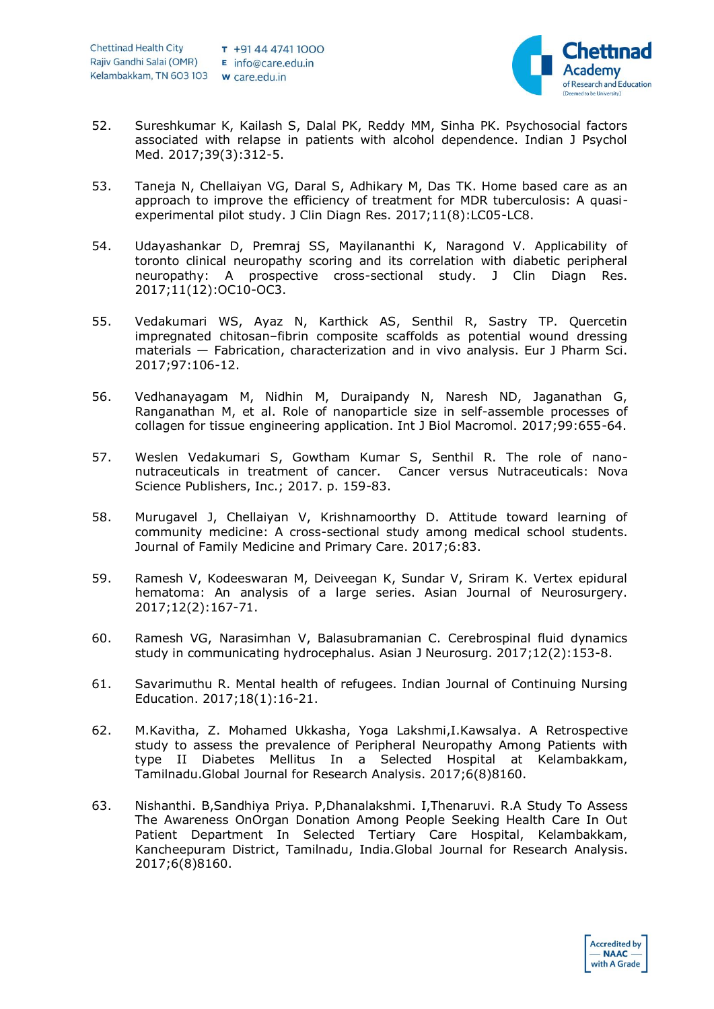

- 52. Sureshkumar K, Kailash S, Dalal PK, Reddy MM, Sinha PK. Psychosocial factors associated with relapse in patients with alcohol dependence. Indian J Psychol Med. 2017;39(3):312-5.
- 53. Taneja N, Chellaiyan VG, Daral S, Adhikary M, Das TK. Home based care as an approach to improve the efficiency of treatment for MDR tuberculosis: A quasiexperimental pilot study. J Clin Diagn Res. 2017;11(8):LC05-LC8.
- 54. Udayashankar D, Premraj SS, Mayilananthi K, Naragond V. Applicability of toronto clinical neuropathy scoring and its correlation with diabetic peripheral neuropathy: A prospective cross-sectional study. J Clin Diagn Res. 2017;11(12):OC10-OC3.
- 55. Vedakumari WS, Ayaz N, Karthick AS, Senthil R, Sastry TP. Quercetin impregnated chitosan–fibrin composite scaffolds as potential wound dressing materials — Fabrication, characterization and in vivo analysis. Eur J Pharm Sci. 2017;97:106-12.
- 56. Vedhanayagam M, Nidhin M, Duraipandy N, Naresh ND, Jaganathan G, Ranganathan M, et al. Role of nanoparticle size in self-assemble processes of collagen for tissue engineering application. Int J Biol Macromol. 2017;99:655-64.
- 57. Weslen Vedakumari S, Gowtham Kumar S, Senthil R. The role of nanonutraceuticals in treatment of cancer. Cancer versus Nutraceuticals: Nova Science Publishers, Inc.; 2017. p. 159-83.
- 58. Murugavel J, Chellaiyan V, Krishnamoorthy D. Attitude toward learning of community medicine: A cross-sectional study among medical school students. Journal of Family Medicine and Primary Care. 2017;6:83.
- 59. Ramesh V, Kodeeswaran M, Deiveegan K, Sundar V, Sriram K. Vertex epidural hematoma: An analysis of a large series. Asian Journal of Neurosurgery. 2017;12(2):167-71.
- 60. Ramesh VG, Narasimhan V, Balasubramanian C. Cerebrospinal fluid dynamics study in communicating hydrocephalus. Asian J Neurosurg. 2017;12(2):153-8.
- 61. Savarimuthu R. Mental health of refugees. Indian Journal of Continuing Nursing Education. 2017;18(1):16-21.
- 62. M.Kavitha, Z. Mohamed Ukkasha, Yoga Lakshmi,I.Kawsalya. A Retrospective study to assess the prevalence of Peripheral Neuropathy Among Patients with type II Diabetes Mellitus In a Selected Hospital at Kelambakkam, Tamilnadu.Global Journal for Research Analysis. 2017;6(8)8160.
- 63. Nishanthi. B,Sandhiya Priya. P,Dhanalakshmi. I,Thenaruvi. R.A Study To Assess The Awareness OnOrgan Donation Among People Seeking Health Care In Out Patient Department In Selected Tertiary Care Hospital, Kelambakkam, Kancheepuram District, Tamilnadu, India.Global Journal for Research Analysis. 2017;6(8)8160.